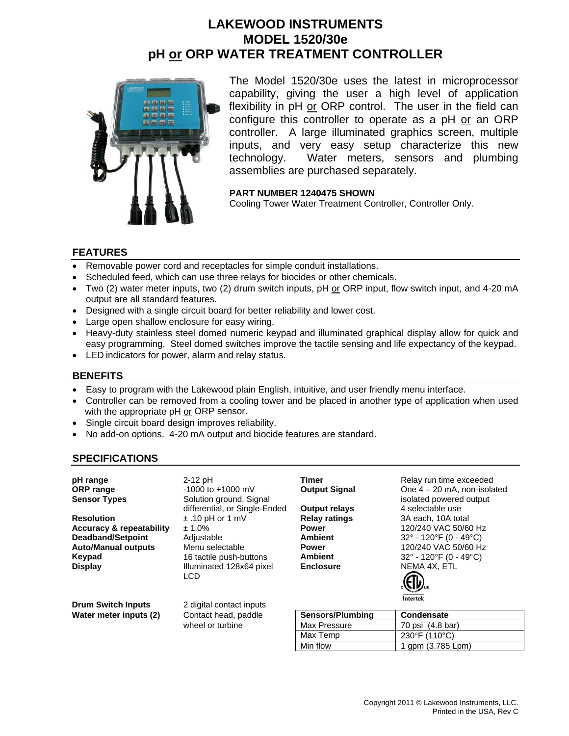## **LAKEWOOD INSTRUMENTS MODEL 1520/30e pH or ORP WATER TREATMENT CONTROLLER**



The Model 1520/30e uses the latest in microprocessor capability, giving the user a high level of application flexibility in pH or ORP control. The user in the field can configure this controller to operate as a pH or an ORP controller. A large illuminated graphics screen, multiple inputs, and very easy setup characterize this new technology. Water meters, sensors and plumbing assemblies are purchased separately.

**PART NUMBER 1240475 SHOWN** 

Cooling Tower Water Treatment Controller, Controller Only.

#### **FEATURES**

- Removable power cord and receptacles for simple conduit installations.
- Scheduled feed, which can use three relays for biocides or other chemicals.
- Two (2) water meter inputs, two (2) drum switch inputs, pH or ORP input, flow switch input, and 4-20 mA output are all standard features.
- Designed with a single circuit board for better reliability and lower cost.
- Large open shallow enclosure for easy wiring.
- Heavy-duty stainless steel domed numeric keypad and illuminated graphical display allow for quick and easy programming. Steel domed switches improve the tactile sensing and life expectancy of the keypad.
- LED indicators for power, alarm and relay status.

#### **BENEFITS**

- Easy to program with the Lakewood plain English, intuitive, and user friendly menu interface.
- Controller can be removed from a cooling tower and be placed in another type of application when used with the appropriate pH or ORP sensor.
- Single circuit board design improves reliability.
- No add-on options. 4-20 mA output and biocide features are standard.

#### **SPECIFICATIONS**

| pH range<br><b>ORP</b> range<br><b>Sensor Types</b>                                                                          | $2-12$ pH<br>$-1000$ to $+1000$ mV<br>Solution ground, Signal                                                               | Timer<br><b>Output Signal</b>                                                                                    | Relay run time exceeded<br>One $4 - 20$ mA, non-isolated<br>isolated powered output                                                                                                                                      |
|------------------------------------------------------------------------------------------------------------------------------|-----------------------------------------------------------------------------------------------------------------------------|------------------------------------------------------------------------------------------------------------------|--------------------------------------------------------------------------------------------------------------------------------------------------------------------------------------------------------------------------|
| <b>Resolution</b><br><b>Accuracy &amp; repeatability</b><br><b>Deadband/Setpoint</b><br><b>Auto/Manual outputs</b><br>Keypad | differential, or Single-Ended<br>$\pm$ .10 pH or 1 mV<br>± 1.0%<br>Adjustable<br>Menu selectable<br>16 tactile push-buttons | <b>Output relays</b><br><b>Relay ratings</b><br><b>Power</b><br><b>Ambient</b><br><b>Power</b><br><b>Ambient</b> | 4 selectable use<br>3A each, 10A total<br>120/240 VAC 50/60 Hz<br>$32^{\circ}$ - 120 $^{\circ}$ F (0 - 49 $^{\circ}$ C)<br>120/240 VAC 50/60 Hz<br>$32^{\circ}$ - 120 $^{\circ}$ F (0 - 49 $^{\circ}$ C)<br>NEMA 4X. ETL |
| <b>Display</b><br><b>Drum Switch Inputs</b>                                                                                  | Illuminated 128x64 pixel<br>LCD.<br>2 digital contact inputs                                                                | <b>Enclosure</b>                                                                                                 | Intertek                                                                                                                                                                                                                 |
| Water meter inputs (2)                                                                                                       | Contact head, paddle                                                                                                        | Sensors/Plumbing                                                                                                 | <b>Condensate</b>                                                                                                                                                                                                        |
|                                                                                                                              | wheel or turbine                                                                                                            | <b>Max Pressure</b>                                                                                              | 70 psi (4.8 bar)                                                                                                                                                                                                         |
|                                                                                                                              |                                                                                                                             | Max Temp                                                                                                         | 230°F (110°C)                                                                                                                                                                                                            |

Min flow 1 gpm (3.785 Lpm)